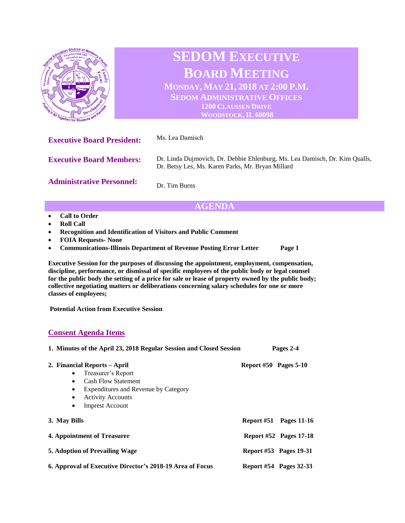

# **AGENDA**

- **Call to Order**
- **Roll Call**
- **Recognition and Identification of Visitors and Public Comment**
- **FOIA Requests- None**
- **Communications-Illinois Department of Revenue Posting Error Letter Page 1**

**Executive Session for the purposes of discussing the appointment, employment, compensation, discipline, performance, or dismissal of specific employees of the public body or legal counsel for the public body the setting of a price for sale or lease of property owned by the public body; collective negotiating matters or deliberations concerning salary schedules for one or more classes of employees;**

**Potential Action from Executive Session** 

### **Consent Agenda Items**

| 1. Minutes of the April 23, 2018 Regular Session and Closed Session                                                                                                                                                                             | Pages 2-4             |                               |
|-------------------------------------------------------------------------------------------------------------------------------------------------------------------------------------------------------------------------------------------------|-----------------------|-------------------------------|
| 2. Financial Reports – April<br>Treasurer's Report<br>$\bullet$<br><b>Cash Flow Statement</b><br>$\bullet$<br>Expenditures and Revenue by Category<br>$\bullet$<br><b>Activity Accounts</b><br>$\bullet$<br><b>Imprest Account</b><br>$\bullet$ | Report #50 Pages 5-10 |                               |
| 3. May Bills                                                                                                                                                                                                                                    |                       | Report $#51$ Pages 11-16      |
| 4. Appointment of Treasurer                                                                                                                                                                                                                     |                       | <b>Report #52 Pages 17-18</b> |
| 5. Adoption of Prevailing Wage                                                                                                                                                                                                                  |                       | <b>Report #53 Pages 19-31</b> |
| 6. Approval of Executive Director's 2018-19 Area of Focus                                                                                                                                                                                       |                       | <b>Report #54 Pages 32-33</b> |